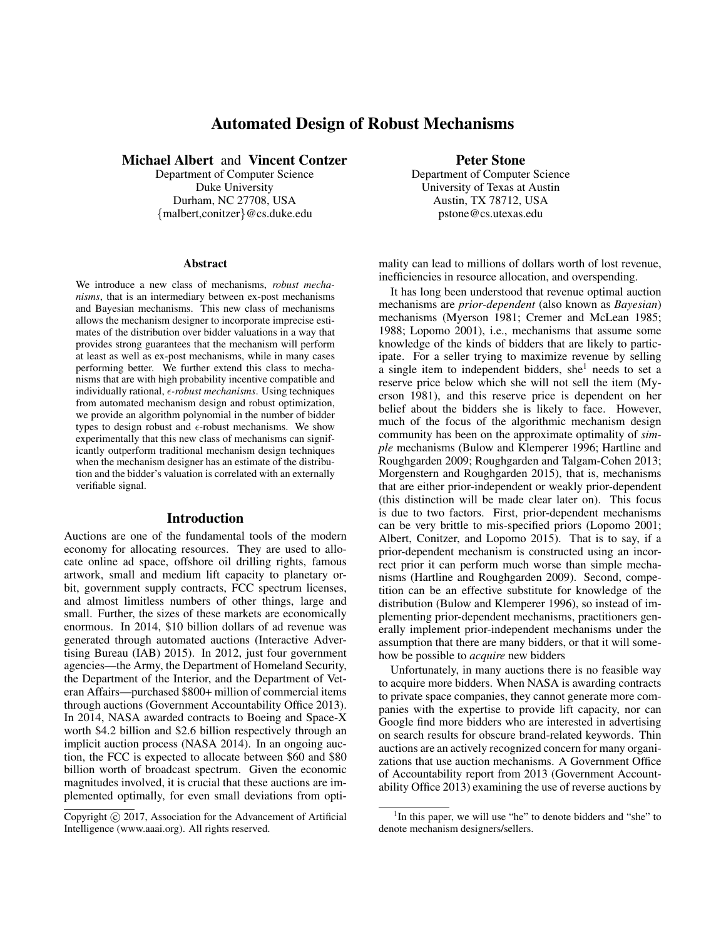# Automated Design of Robust Mechanisms

Michael Albert and Vincent Contzer

Department of Computer Science Duke University Durham, NC 27708, USA {malbert,conitzer}@cs.duke.edu

#### Abstract

We introduce a new class of mechanisms, *robust mechanisms*, that is an intermediary between ex-post mechanisms and Bayesian mechanisms. This new class of mechanisms allows the mechanism designer to incorporate imprecise estimates of the distribution over bidder valuations in a way that provides strong guarantees that the mechanism will perform at least as well as ex-post mechanisms, while in many cases performing better. We further extend this class to mechanisms that are with high probability incentive compatible and individually rational,  $\epsilon$ -robust mechanisms. Using techniques from automated mechanism design and robust optimization, we provide an algorithm polynomial in the number of bidder types to design robust and  $\epsilon$ -robust mechanisms. We show experimentally that this new class of mechanisms can significantly outperform traditional mechanism design techniques when the mechanism designer has an estimate of the distribution and the bidder's valuation is correlated with an externally verifiable signal.

#### Introduction

Auctions are one of the fundamental tools of the modern economy for allocating resources. They are used to allocate online ad space, offshore oil drilling rights, famous artwork, small and medium lift capacity to planetary orbit, government supply contracts, FCC spectrum licenses, and almost limitless numbers of other things, large and small. Further, the sizes of these markets are economically enormous. In 2014, \$10 billion dollars of ad revenue was generated through automated auctions (Interactive Advertising Bureau (IAB) 2015). In 2012, just four government agencies—the Army, the Department of Homeland Security, the Department of the Interior, and the Department of Veteran Affairs—purchased \$800+ million of commercial items through auctions (Government Accountability Office 2013). In 2014, NASA awarded contracts to Boeing and Space-X worth \$4.2 billion and \$2.6 billion respectively through an implicit auction process (NASA 2014). In an ongoing auction, the FCC is expected to allocate between \$60 and \$80 billion worth of broadcast spectrum. Given the economic magnitudes involved, it is crucial that these auctions are implemented optimally, for even small deviations from optiPeter Stone

Department of Computer Science University of Texas at Austin Austin, TX 78712, USA pstone@cs.utexas.edu

mality can lead to millions of dollars worth of lost revenue, inefficiencies in resource allocation, and overspending.

It has long been understood that revenue optimal auction mechanisms are *prior-dependent* (also known as *Bayesian*) mechanisms (Myerson 1981; Cremer and McLean 1985; 1988; Lopomo 2001), i.e., mechanisms that assume some knowledge of the kinds of bidders that are likely to participate. For a seller trying to maximize revenue by selling a single item to independent bidders, she<sup>1</sup> needs to set a reserve price below which she will not sell the item (Myerson 1981), and this reserve price is dependent on her belief about the bidders she is likely to face. However, much of the focus of the algorithmic mechanism design community has been on the approximate optimality of *simple* mechanisms (Bulow and Klemperer 1996; Hartline and Roughgarden 2009; Roughgarden and Talgam-Cohen 2013; Morgenstern and Roughgarden 2015), that is, mechanisms that are either prior-independent or weakly prior-dependent (this distinction will be made clear later on). This focus is due to two factors. First, prior-dependent mechanisms can be very brittle to mis-specified priors (Lopomo 2001; Albert, Conitzer, and Lopomo 2015). That is to say, if a prior-dependent mechanism is constructed using an incorrect prior it can perform much worse than simple mechanisms (Hartline and Roughgarden 2009). Second, competition can be an effective substitute for knowledge of the distribution (Bulow and Klemperer 1996), so instead of implementing prior-dependent mechanisms, practitioners generally implement prior-independent mechanisms under the assumption that there are many bidders, or that it will somehow be possible to *acquire* new bidders

Unfortunately, in many auctions there is no feasible way to acquire more bidders. When NASA is awarding contracts to private space companies, they cannot generate more companies with the expertise to provide lift capacity, nor can Google find more bidders who are interested in advertising on search results for obscure brand-related keywords. Thin auctions are an actively recognized concern for many organizations that use auction mechanisms. A Government Office of Accountability report from 2013 (Government Accountability Office 2013) examining the use of reverse auctions by

Copyright (c) 2017, Association for the Advancement of Artificial Intelligence (www.aaai.org). All rights reserved.

<sup>&</sup>lt;sup>1</sup>In this paper, we will use "he" to denote bidders and "she" to denote mechanism designers/sellers.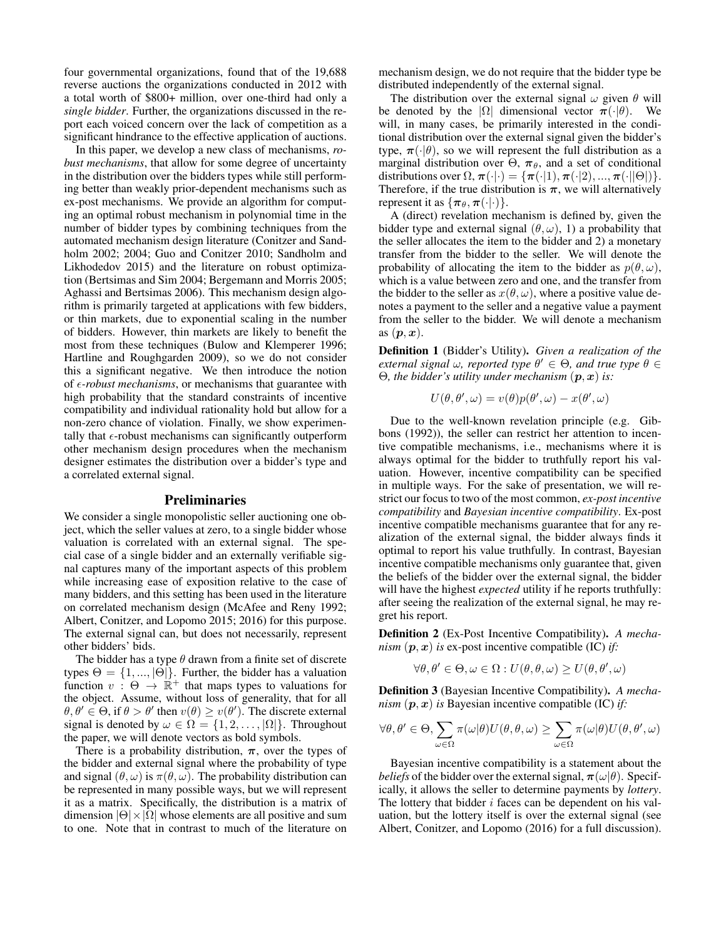four governmental organizations, found that of the 19,688 reverse auctions the organizations conducted in 2012 with a total worth of \$800+ million, over one-third had only a *single bidder*. Further, the organizations discussed in the report each voiced concern over the lack of competition as a significant hindrance to the effective application of auctions.

In this paper, we develop a new class of mechanisms, *robust mechanisms*, that allow for some degree of uncertainty in the distribution over the bidders types while still performing better than weakly prior-dependent mechanisms such as ex-post mechanisms. We provide an algorithm for computing an optimal robust mechanism in polynomial time in the number of bidder types by combining techniques from the automated mechanism design literature (Conitzer and Sandholm 2002; 2004; Guo and Conitzer 2010; Sandholm and Likhodedov 2015) and the literature on robust optimization (Bertsimas and Sim 2004; Bergemann and Morris 2005; Aghassi and Bertsimas 2006). This mechanism design algorithm is primarily targeted at applications with few bidders, or thin markets, due to exponential scaling in the number of bidders. However, thin markets are likely to benefit the most from these techniques (Bulow and Klemperer 1996; Hartline and Roughgarden 2009), so we do not consider this a significant negative. We then introduce the notion of  $\epsilon$ -robust mechanisms, or mechanisms that guarantee with high probability that the standard constraints of incentive compatibility and individual rationality hold but allow for a non-zero chance of violation. Finally, we show experimentally that  $\epsilon$ -robust mechanisms can significantly outperform other mechanism design procedures when the mechanism designer estimates the distribution over a bidder's type and a correlated external signal.

#### Preliminaries

We consider a single monopolistic seller auctioning one object, which the seller values at zero, to a single bidder whose valuation is correlated with an external signal. The special case of a single bidder and an externally verifiable signal captures many of the important aspects of this problem while increasing ease of exposition relative to the case of many bidders, and this setting has been used in the literature on correlated mechanism design (McAfee and Reny 1992; Albert, Conitzer, and Lopomo 2015; 2016) for this purpose. The external signal can, but does not necessarily, represent other bidders' bids.

The bidder has a type  $\theta$  drawn from a finite set of discrete types  $\Theta = \{1, ..., |\Theta|\}$ . Further, the bidder has a valuation function  $v : \Theta \to \mathbb{R}^+$  that maps types to valuations for the object. Assume, without loss of generality, that for all  $\theta, \theta' \in \Theta$ , if  $\theta > \theta'$  then  $v(\theta) \ge v(\theta')$ . The discrete external signal is denoted by  $\omega \in \Omega = \{1, 2, ..., |\Omega|\}$ . Throughout the paper, we will denote vectors as bold symbols.

There is a probability distribution,  $\pi$ , over the types of the bidder and external signal where the probability of type and signal  $(\theta, \omega)$  is  $\pi(\theta, \omega)$ . The probability distribution can be represented in many possible ways, but we will represent it as a matrix. Specifically, the distribution is a matrix of dimension  $|\Theta| \times |\Omega|$  whose elements are all positive and sum to one. Note that in contrast to much of the literature on

mechanism design, we do not require that the bidder type be distributed independently of the external signal.

The distribution over the external signal  $\omega$  given  $\theta$  will be denoted by the  $|\Omega|$  dimensional vector  $\pi(\cdot|\theta)$ . We will, in many cases, be primarily interested in the conditional distribution over the external signal given the bidder's type,  $\pi(\cdot|\theta)$ , so we will represent the full distribution as a marginal distribution over  $\Theta$ ,  $\pi_{\theta}$ , and a set of conditional distributions over  $\Omega$ ,  $\pi(\cdot|\cdot) = {\pi(\cdot|1), \pi(\cdot|2), ..., \pi(\cdot||\Theta|)}.$ Therefore, if the true distribution is  $\pi$ , we will alternatively represent it as  $\{\pi_{\theta}, \pi(\cdot | \cdot)\}.$ 

A (direct) revelation mechanism is defined by, given the bidder type and external signal  $(\theta, \omega)$ , 1) a probability that the seller allocates the item to the bidder and 2) a monetary transfer from the bidder to the seller. We will denote the probability of allocating the item to the bidder as  $p(\theta, \omega)$ , which is a value between zero and one, and the transfer from the bidder to the seller as  $x(\theta, \omega)$ , where a positive value denotes a payment to the seller and a negative value a payment from the seller to the bidder. We will denote a mechanism as  $(\boldsymbol{p}, \boldsymbol{x})$ .

Definition 1 (Bidder's Utility). *Given a realization of the external signal*  $\omega$ , reported type  $\theta' \in \Theta$ , and true type  $\theta \in$ Θ*, the bidder's utility under mechanism* (p, x) *is:*

$$
U(\theta, \theta', \omega) = v(\theta)p(\theta', \omega) - x(\theta', \omega)
$$

Due to the well-known revelation principle (e.g. Gibbons (1992)), the seller can restrict her attention to incentive compatible mechanisms, i.e., mechanisms where it is always optimal for the bidder to truthfully report his valuation. However, incentive compatibility can be specified in multiple ways. For the sake of presentation, we will restrict our focus to two of the most common, *ex-post incentive compatibility* and *Bayesian incentive compatibility*. Ex-post incentive compatible mechanisms guarantee that for any realization of the external signal, the bidder always finds it optimal to report his value truthfully. In contrast, Bayesian incentive compatible mechanisms only guarantee that, given the beliefs of the bidder over the external signal, the bidder will have the highest *expected* utility if he reports truthfully: after seeing the realization of the external signal, he may regret his report.

Definition 2 (Ex-Post Incentive Compatibility). *A mechanism*  $(p, x)$  *is* ex-post incentive compatible (IC) *if:* 

$$
\forall \theta, \theta' \in \Theta, \omega \in \Omega : U(\theta, \theta, \omega) \ge U(\theta, \theta', \omega)
$$

Definition 3 (Bayesian Incentive Compatibility). *A mechanism*  $(p, x)$  *is* Bayesian incentive compatible (IC) *if:* 

$$
\forall \theta, \theta' \in \Theta, \sum_{\omega \in \Omega} \pi(\omega|\theta) U(\theta, \theta, \omega) \geq \sum_{\omega \in \Omega} \pi(\omega|\theta) U(\theta, \theta', \omega)
$$

Bayesian incentive compatibility is a statement about the *beliefs* of the bidder over the external signal,  $\pi(\omega|\theta)$ . Specifically, it allows the seller to determine payments by *lottery*. The lottery that bidder  $i$  faces can be dependent on his valuation, but the lottery itself is over the external signal (see Albert, Conitzer, and Lopomo (2016) for a full discussion).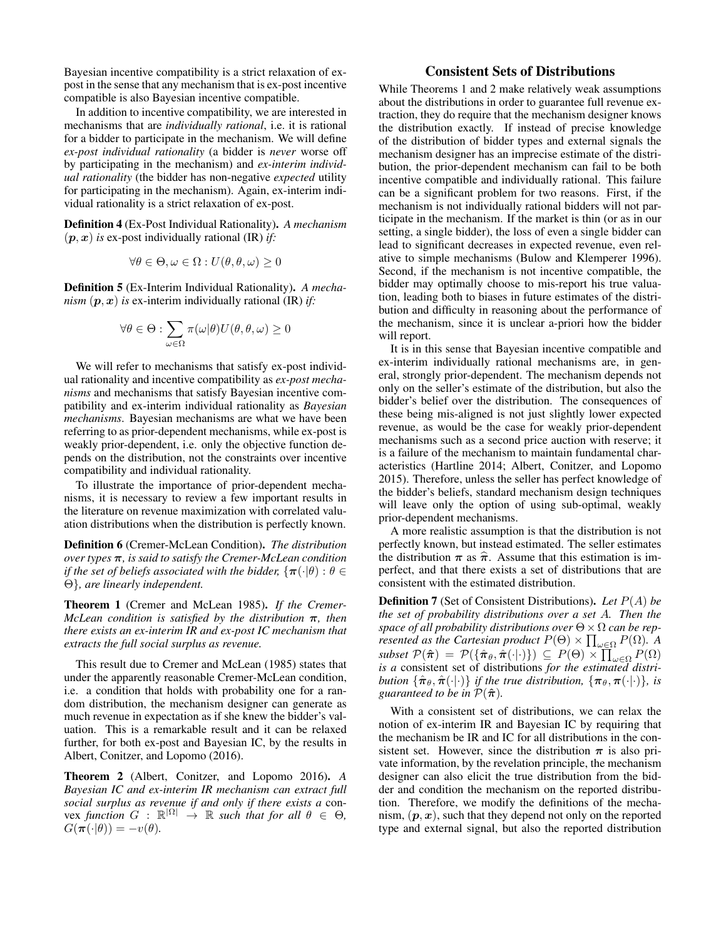Bayesian incentive compatibility is a strict relaxation of expost in the sense that any mechanism that is ex-post incentive compatible is also Bayesian incentive compatible.

In addition to incentive compatibility, we are interested in mechanisms that are *individually rational*, i.e. it is rational for a bidder to participate in the mechanism. We will define *ex-post individual rationality* (a bidder is *never* worse off by participating in the mechanism) and *ex-interim individual rationality* (the bidder has non-negative *expected* utility for participating in the mechanism). Again, ex-interim individual rationality is a strict relaxation of ex-post.

Definition 4 (Ex-Post Individual Rationality). *A mechanism*  $(p, x)$  *is* ex-post individually rational (IR) *if:* 

$$
\forall \theta \in \Theta, \omega \in \Omega : U(\theta, \theta, \omega) \ge 0
$$

Definition 5 (Ex-Interim Individual Rationality). *A mechanism*  $(p, x)$  *is* ex-interim individually rational (IR) *if:* 

$$
\forall \theta \in \Theta : \sum_{\omega \in \Omega} \pi(\omega|\theta) U(\theta, \theta, \omega) \ge 0
$$

We will refer to mechanisms that satisfy ex-post individual rationality and incentive compatibility as *ex-post mechanisms* and mechanisms that satisfy Bayesian incentive compatibility and ex-interim individual rationality as *Bayesian mechanisms*. Bayesian mechanisms are what we have been referring to as prior-dependent mechanisms, while ex-post is weakly prior-dependent, i.e. only the objective function depends on the distribution, not the constraints over incentive compatibility and individual rationality.

To illustrate the importance of prior-dependent mechanisms, it is necessary to review a few important results in the literature on revenue maximization with correlated valuation distributions when the distribution is perfectly known.

Definition 6 (Cremer-McLean Condition). *The distribution over types* π*, is said to satisfy the Cremer-McLean condition if the set of beliefs associated with the bidder,*  $\{\pi(\cdot|\theta): \theta \in$ Θ}*, are linearly independent.*

Theorem 1 (Cremer and McLean 1985). *If the Cremer-McLean condition is satisfied by the distribution* π*, then there exists an ex-interim IR and ex-post IC mechanism that extracts the full social surplus as revenue.*

This result due to Cremer and McLean (1985) states that under the apparently reasonable Cremer-McLean condition, i.e. a condition that holds with probability one for a random distribution, the mechanism designer can generate as much revenue in expectation as if she knew the bidder's valuation. This is a remarkable result and it can be relaxed further, for both ex-post and Bayesian IC, by the results in Albert, Conitzer, and Lopomo (2016).

Theorem 2 (Albert, Conitzer, and Lopomo 2016). *A Bayesian IC and ex-interim IR mechanism can extract full social surplus as revenue if and only if there exists a* con- $\forall x \text{ function } G : \mathbb{R}^{|\Omega|} \to \mathbb{R} \text{ such that for all } \theta \in \Theta,$  $G(\pi(\cdot|\theta)) = -v(\theta)$ .

# Consistent Sets of Distributions

While Theorems 1 and 2 make relatively weak assumptions about the distributions in order to guarantee full revenue extraction, they do require that the mechanism designer knows the distribution exactly. If instead of precise knowledge of the distribution of bidder types and external signals the mechanism designer has an imprecise estimate of the distribution, the prior-dependent mechanism can fail to be both incentive compatible and individually rational. This failure can be a significant problem for two reasons. First, if the mechanism is not individually rational bidders will not participate in the mechanism. If the market is thin (or as in our setting, a single bidder), the loss of even a single bidder can lead to significant decreases in expected revenue, even relative to simple mechanisms (Bulow and Klemperer 1996). Second, if the mechanism is not incentive compatible, the bidder may optimally choose to mis-report his true valuation, leading both to biases in future estimates of the distribution and difficulty in reasoning about the performance of the mechanism, since it is unclear a-priori how the bidder will report.

It is in this sense that Bayesian incentive compatible and ex-interim individually rational mechanisms are, in general, strongly prior-dependent. The mechanism depends not only on the seller's estimate of the distribution, but also the bidder's belief over the distribution. The consequences of these being mis-aligned is not just slightly lower expected revenue, as would be the case for weakly prior-dependent mechanisms such as a second price auction with reserve; it is a failure of the mechanism to maintain fundamental characteristics (Hartline 2014; Albert, Conitzer, and Lopomo 2015). Therefore, unless the seller has perfect knowledge of the bidder's beliefs, standard mechanism design techniques will leave only the option of using sub-optimal, weakly prior-dependent mechanisms.

A more realistic assumption is that the distribution is not perfectly known, but instead estimated. The seller estimates the distribution  $\pi$  as  $\hat{\pi}$ . Assume that this estimation is imperfect, and that there exists a set of distributions that are consistent with the estimated distribution.

Definition 7 (Set of Consistent Distributions). *Let* P(A) *be the set of probability distributions over a set* A*. Then the space of all probability distributions over* Θ×Ω *can be represented as the Cartesian product*  $P(\Theta) \times \prod_{\omega \in \Omega} P(\Omega)$ *.* A  $\mathit{subset} \ \mathcal{P}(\hat{\boldsymbol{\pi}}) \ = \ \mathcal{P}(\{\hat{\boldsymbol{\pi}}_{\theta}, \hat{\boldsymbol{\pi}}(\cdot | \cdot)\}) \ \subseteq \ P(\Theta) \times \prod_{\omega \in \Omega} P(\Omega)$ *is a* consistent set of distributions *for the estimated distribution*  $\{\hat{\pi}_{\theta}, \hat{\pi}(\cdot|\cdot)\}$  *if the true distribution,*  $\{\pi_{\theta}, \pi(\cdot|\cdot)\}$ *, is guaranteed to be in*  $P(\hat{\pi})$ *.* 

With a consistent set of distributions, we can relax the notion of ex-interim IR and Bayesian IC by requiring that the mechanism be IR and IC for all distributions in the consistent set. However, since the distribution  $\pi$  is also private information, by the revelation principle, the mechanism designer can also elicit the true distribution from the bidder and condition the mechanism on the reported distribution. Therefore, we modify the definitions of the mechanism,  $(p, x)$ , such that they depend not only on the reported type and external signal, but also the reported distribution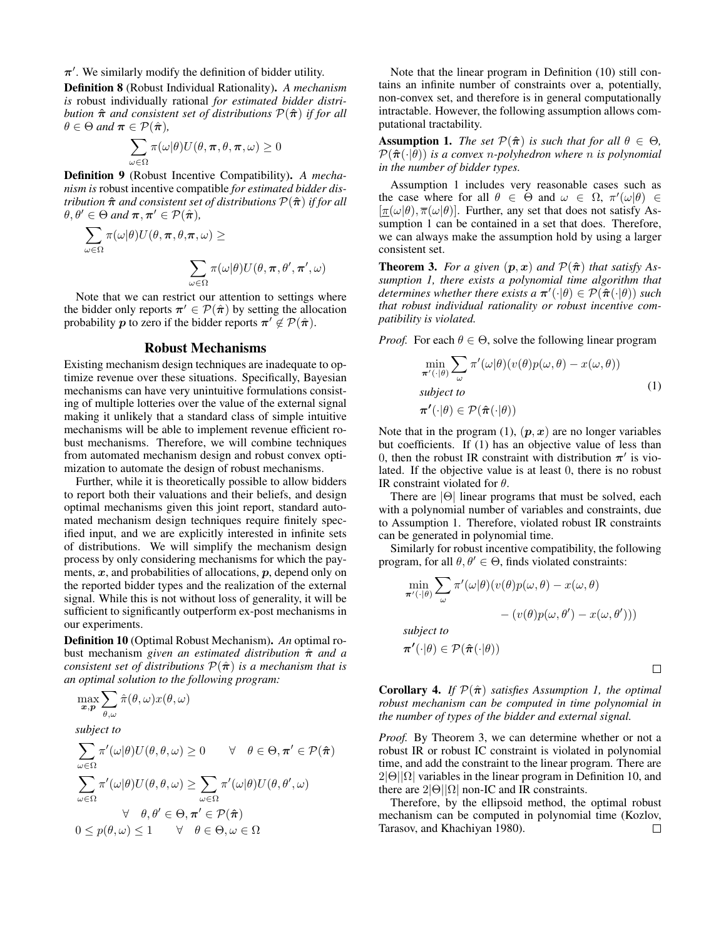$\pi'$ . We similarly modify the definition of bidder utility.

Definition 8 (Robust Individual Rationality). *A mechanism is* robust individually rational *for estimated bidder distribution* πˆ *and consistent set of distributions* P(πˆ) *if for all*  $\theta \in \Theta$  *and*  $\pi \in \mathcal{P}(\hat{\pi})$ ,

$$
\sum_{\omega \in \Omega} \pi(\omega | \theta) U(\theta, \pi, \theta, \pi, \omega) \ge 0
$$

Definition 9 (Robust Incentive Compatibility). *A mechanism is* robust incentive compatible *for estimated bidder distribution*  $\hat{\pi}$  *and consistent set of distributions*  $\mathcal{P}(\hat{\pi})$  *if for all*  $\theta, \theta' \in \Theta$  and  $\pi, \pi' \in \mathcal{P}(\hat{\pi}),$ 

$$
\sum_{\omega \in \Omega} \pi(\omega|\theta) U(\theta, \pi, \theta, \pi, \omega) \ge
$$

$$
\sum_{\omega \in \Omega} \pi(\omega|\theta) U(\theta, \pi, \theta', \pi', \omega)
$$

Note that we can restrict our attention to settings where the bidder only reports  $\pi' \in \mathcal{P}(\hat{\pi})$  by setting the allocation probability p to zero if the bidder reports  $\pi' \notin \mathcal{P}(\hat{\pi})$ .

#### Robust Mechanisms

Existing mechanism design techniques are inadequate to optimize revenue over these situations. Specifically, Bayesian mechanisms can have very unintuitive formulations consisting of multiple lotteries over the value of the external signal making it unlikely that a standard class of simple intuitive mechanisms will be able to implement revenue efficient robust mechanisms. Therefore, we will combine techniques from automated mechanism design and robust convex optimization to automate the design of robust mechanisms.

Further, while it is theoretically possible to allow bidders to report both their valuations and their beliefs, and design optimal mechanisms given this joint report, standard automated mechanism design techniques require finitely specified input, and we are explicitly interested in infinite sets of distributions. We will simplify the mechanism design process by only considering mechanisms for which the payments,  $x$ , and probabilities of allocations,  $p$ , depend only on the reported bidder types and the realization of the external signal. While this is not without loss of generality, it will be sufficient to significantly outperform ex-post mechanisms in our experiments.

Definition 10 (Optimal Robust Mechanism). *An* optimal robust mechanism *given an estimated distribution* πˆ *and a consistent set of distributions*  $\mathcal{P}(\hat{\pi})$  *is a mechanism that is an optimal solution to the following program:*

$$
\max_{\boldsymbol{x},\boldsymbol{p}}\sum_{\theta,\omega}\hat{\pi}(\theta,\omega)x(\theta,\omega)
$$

*subject to*

$$
\sum_{\omega \in \Omega} \pi'(\omega|\theta) U(\theta, \theta, \omega) \ge 0 \quad \forall \quad \theta \in \Theta, \pi' \in \mathcal{P}(\hat{\pi})
$$

$$
\sum_{\omega \in \Omega} \pi'(\omega|\theta) U(\theta, \theta, \omega) \ge \sum_{\omega \in \Omega} \pi'(\omega|\theta) U(\theta, \theta', \omega)
$$

$$
\forall \quad \theta, \theta' \in \Theta, \pi' \in \mathcal{P}(\hat{\pi})
$$

$$
0 \le p(\theta, \omega) \le 1 \quad \forall \quad \theta \in \Theta, \omega \in \Omega
$$

Note that the linear program in Definition (10) still contains an infinite number of constraints over a, potentially, non-convex set, and therefore is in general computationally intractable. However, the following assumption allows computational tractability.

**Assumption 1.** *The set*  $\mathcal{P}(\hat{\pi})$  *is such that for all*  $\theta \in \Theta$ *,*  $\mathcal{P}(\hat{\pi}(\cdot|\theta))$  *is a convex n-polyhedron where n is polynomial in the number of bidder types.*

Assumption 1 includes very reasonable cases such as the case where for all  $\theta \in \Theta$  and  $\omega \in \Omega$ ,  $\pi'(\omega|\theta) \in$  $[\pi(\omega|\theta), \overline{\pi}(\omega|\theta)]$ . Further, any set that does not satisfy Assumption 1 can be contained in a set that does. Therefore, we can always make the assumption hold by using a larger consistent set.

**Theorem 3.** *For a given*  $(p, x)$  *and*  $\mathcal{P}(\hat{\pi})$  *that satisfy Assumption 1, there exists a polynomial time algorithm that*  $determines$  whether there exists  $a \pi'(\cdot | \theta) \in \mathcal{P}(\hat{\pi}(\cdot | \theta))$  such *that robust individual rationality or robust incentive compatibility is violated.*

*Proof.* For each  $\theta \in \Theta$ , solve the following linear program

$$
\min_{\pi'(\cdot|\theta)} \sum_{\omega} \pi'(\omega|\theta)(v(\theta)p(\omega,\theta) - x(\omega,\theta))
$$
\nsubject to\n
$$
\pi'(\cdot|\theta) \in \mathcal{P}(\hat{\pi}(\cdot|\theta))
$$
\n(1)

Note that in the program  $(1)$ ,  $(p, x)$  are no longer variables but coefficients. If (1) has an objective value of less than 0, then the robust IR constraint with distribution  $\pi'$  is violated. If the objective value is at least 0, there is no robust IR constraint violated for  $\theta$ .

There are  $|\Theta|$  linear programs that must be solved, each with a polynomial number of variables and constraints, due to Assumption 1. Therefore, violated robust IR constraints can be generated in polynomial time.

Similarly for robust incentive compatibility, the following program, for all  $\theta, \theta' \in \Theta$ , finds violated constraints:

$$
\min_{\pi'(\cdot|\theta)} \sum_{\omega} \pi'(\omega|\theta)(v(\theta)p(\omega,\theta) - x(\omega,\theta) - (v(\theta)p(\omega,\theta') - x(\omega,\theta')))
$$
\nsubject to\n
$$
\pi'(\cdot|\theta) \in \mathcal{P}(\hat{\pi}(\cdot|\theta))
$$

 $\Box$ 

**Corollary 4.** *If*  $\mathcal{P}(\hat{\pi})$  *satisfies Assumption 1, the optimal robust mechanism can be computed in time polynomial in the number of types of the bidder and external signal.*

*Proof.* By Theorem 3, we can determine whether or not a robust IR or robust IC constraint is violated in polynomial time, and add the constraint to the linear program. There are  $2|\Theta||\Omega|$  variables in the linear program in Definition 10, and there are  $2|\Theta||\Omega|$  non-IC and IR constraints.

Therefore, by the ellipsoid method, the optimal robust mechanism can be computed in polynomial time (Kozlov, Tarasov, and Khachiyan 1980). $\Box$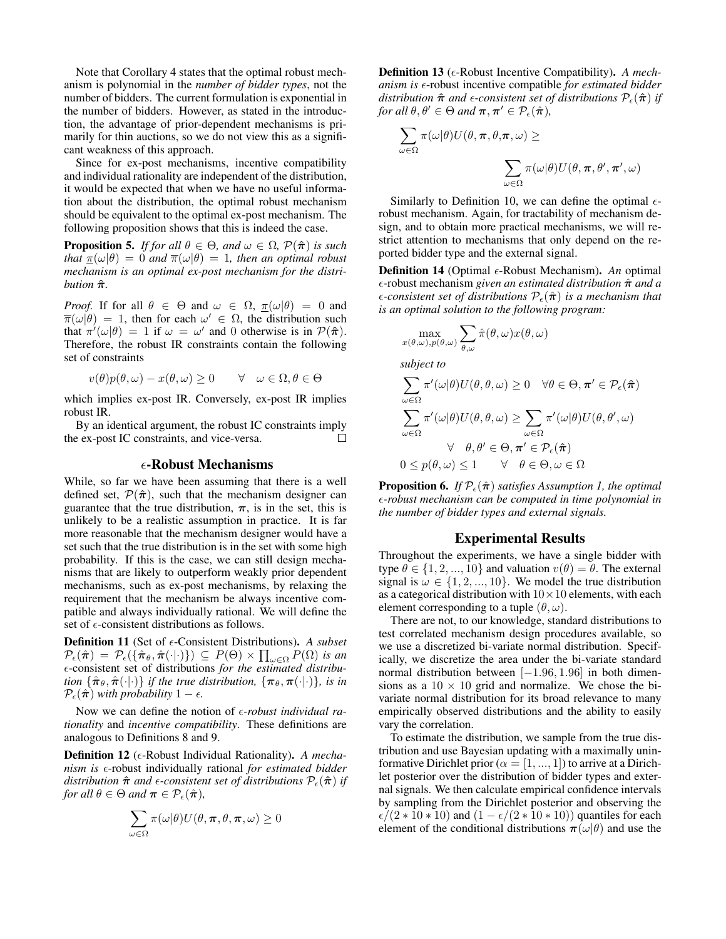Note that Corollary 4 states that the optimal robust mechanism is polynomial in the *number of bidder types*, not the number of bidders. The current formulation is exponential in the number of bidders. However, as stated in the introduction, the advantage of prior-dependent mechanisms is primarily for thin auctions, so we do not view this as a significant weakness of this approach.

Since for ex-post mechanisms, incentive compatibility and individual rationality are independent of the distribution, it would be expected that when we have no useful information about the distribution, the optimal robust mechanism should be equivalent to the optimal ex-post mechanism. The following proposition shows that this is indeed the case.

**Proposition 5.** *If for all*  $\theta \in \Theta$ *, and*  $\omega \in \Omega$ *,*  $\mathcal{P}(\hat{\pi})$  *is such that*  $\pi(\omega|\theta) = 0$  *and*  $\pi(\omega|\theta) = 1$ *, then an optimal robust mechanism is an optimal ex-post mechanism for the distribution*  $\hat{\pi}$ *.* 

*Proof.* If for all  $\theta \in \Theta$  and  $\omega \in \Omega$ ,  $\pi(\omega|\theta) = 0$  and  $\overline{\pi}(\omega|\theta) = 1$ , then for each  $\omega' \in \Omega$ , the distribution such that  $\pi'(\omega|\theta) = 1$  if  $\omega = \omega'$  and 0 otherwise is in  $\mathcal{P}(\hat{\pi})$ . Therefore, the robust IR constraints contain the following set of constraints

$$
v(\theta)p(\theta,\omega) - x(\theta,\omega) \ge 0 \quad \forall \quad \omega \in \Omega, \theta \in \Theta
$$

which implies ex-post IR. Conversely, ex-post IR implies robust IR.

By an identical argument, the robust IC constraints imply the ex-post IC constraints, and vice-versa. П

#### $\epsilon$ -Robust Mechanisms

While, so far we have been assuming that there is a well defined set,  $\mathcal{P}(\hat{\pi})$ , such that the mechanism designer can guarantee that the true distribution,  $\pi$ , is in the set, this is unlikely to be a realistic assumption in practice. It is far more reasonable that the mechanism designer would have a set such that the true distribution is in the set with some high probability. If this is the case, we can still design mechanisms that are likely to outperform weakly prior dependent mechanisms, such as ex-post mechanisms, by relaxing the requirement that the mechanism be always incentive compatible and always individually rational. We will define the set of  $\epsilon$ -consistent distributions as follows.

Definition 11 (Set of  $\epsilon$ -Consistent Distributions). *A subset*  $\mathcal{P}_{\epsilon}(\hat{\boldsymbol{\pi}}) = \mathcal{P}_{\epsilon}(\{\hat{\boldsymbol{\pi}}_{\theta}, \hat{\boldsymbol{\pi}}(\cdot | \cdot)\}) \subseteq P(\Theta) \times \prod_{\omega \in \Omega} P(\Omega)$  is an -consistent set of distributions *for the estimated distribution*  $\{\hat{\pi}_{\theta}, \hat{\pi}(\cdot|\cdot)\}\$ *if the true distribution,*  $\{\pi_{\theta}, \pi(\cdot|\cdot)\}\$ *, is in*  $\mathcal{P}_{\epsilon}(\hat{\pi})$  *with probability*  $1 - \epsilon$ .

Now we can define the notion of  $\epsilon$ -robust individual ra*tionality* and *incentive compatibility*. These definitions are analogous to Definitions 8 and 9.

Definition 12 ( $\epsilon$ -Robust Individual Rationality). *A mechanism is* -robust individually rational *for estimated bidder distribution*  $\hat{\pi}$  *and*  $\epsilon$ -consistent set of distributions  $\mathcal{P}_{\epsilon}(\hat{\pi})$  *if for all*  $\theta \in \Theta$  *and*  $\pi \in \mathcal{P}_{\epsilon}(\hat{\pi})$ *,* 

$$
\sum_{\omega \in \Omega} \pi(\omega | \theta) U(\theta, \pi, \theta, \pi, \omega) \ge 0
$$

Definition 13 ( $\epsilon$ -Robust Incentive Compatibility). *A mechanism is*  $\epsilon$ -robust incentive compatible *for estimated bidder distribution*  $\hat{\pi}$  *and*  $\epsilon$ -consistent set of distributions  $\mathcal{P}_{\epsilon}(\hat{\pi})$  if *for all*  $\theta, \theta' \in \Theta$  *and*  $\pi, \pi' \in \mathcal{P}_{\epsilon}(\hat{\pi}),$ 

$$
\sum_{\omega \in \Omega} \pi(\omega|\theta) U(\theta, \pi, \theta, \pi, \omega) \ge
$$

$$
\sum_{\omega \in \Omega} \pi(\omega|\theta) U(\theta, \pi, \theta', \pi', \omega)
$$

Similarly to Definition 10, we can define the optimal  $\epsilon$ robust mechanism. Again, for tractability of mechanism design, and to obtain more practical mechanisms, we will restrict attention to mechanisms that only depend on the reported bidder type and the external signal.

**Definition 14** (Optimal  $\epsilon$ -Robust Mechanism). *An* optimal -robust mechanism *given an estimated distribution* πˆ *and a*  $\epsilon$ -consistent set of distributions  $\mathcal{P}_{\epsilon}(\hat{\pi})$  *is a mechanism that is an optimal solution to the following program:*

$$
\max_{x(\theta,\omega),p(\theta,\omega)} \sum_{\theta,\omega} \hat{\pi}(\theta,\omega) x(\theta,\omega)
$$

*subject to*

$$
\sum_{\omega \in \Omega} \pi'(\omega|\theta) U(\theta, \theta, \omega) \ge 0 \quad \forall \theta \in \Theta, \pi' \in \mathcal{P}_{\epsilon}(\hat{\pi})
$$

$$
\sum_{\omega \in \Omega} \pi'(\omega|\theta) U(\theta, \theta, \omega) \ge \sum_{\omega \in \Omega} \pi'(\omega|\theta) U(\theta, \theta', \omega)
$$

$$
\forall \theta, \theta' \in \Theta, \pi' \in \mathcal{P}_{\epsilon}(\hat{\pi})
$$

$$
0 \le p(\theta, \omega) \le 1 \qquad \forall \theta \in \Theta, \omega \in \Omega
$$

**Proposition 6.** *If*  $\mathcal{P}_{\epsilon}(\hat{\boldsymbol{\pi}})$  *satisfies Assumption 1, the optimal -robust mechanism can be computed in time polynomial in the number of bidder types and external signals.*

## Experimental Results

Throughout the experiments, we have a single bidder with type  $\theta \in \{1, 2, ..., 10\}$  and valuation  $v(\theta) = \theta$ . The external signal is  $\omega \in \{1, 2, ..., 10\}$ . We model the true distribution as a categorical distribution with  $10 \times 10$  elements, with each element corresponding to a tuple  $(\theta, \omega)$ .

There are not, to our knowledge, standard distributions to test correlated mechanism design procedures available, so we use a discretized bi-variate normal distribution. Specifically, we discretize the area under the bi-variate standard normal distribution between [−1.96, 1.96] in both dimensions as a  $10 \times 10$  grid and normalize. We chose the bivariate normal distribution for its broad relevance to many empirically observed distributions and the ability to easily vary the correlation.

To estimate the distribution, we sample from the true distribution and use Bayesian updating with a maximally uninformative Dirichlet prior ( $\alpha = [1, ..., 1]$ ) to arrive at a Dirichlet posterior over the distribution of bidder types and external signals. We then calculate empirical confidence intervals by sampling from the Dirichlet posterior and observing the  $\epsilon/(2 * 10 * 10)$  and  $(1 - \epsilon/(2 * 10 * 10))$  quantiles for each element of the conditional distributions  $\pi(\omega|\theta)$  and use the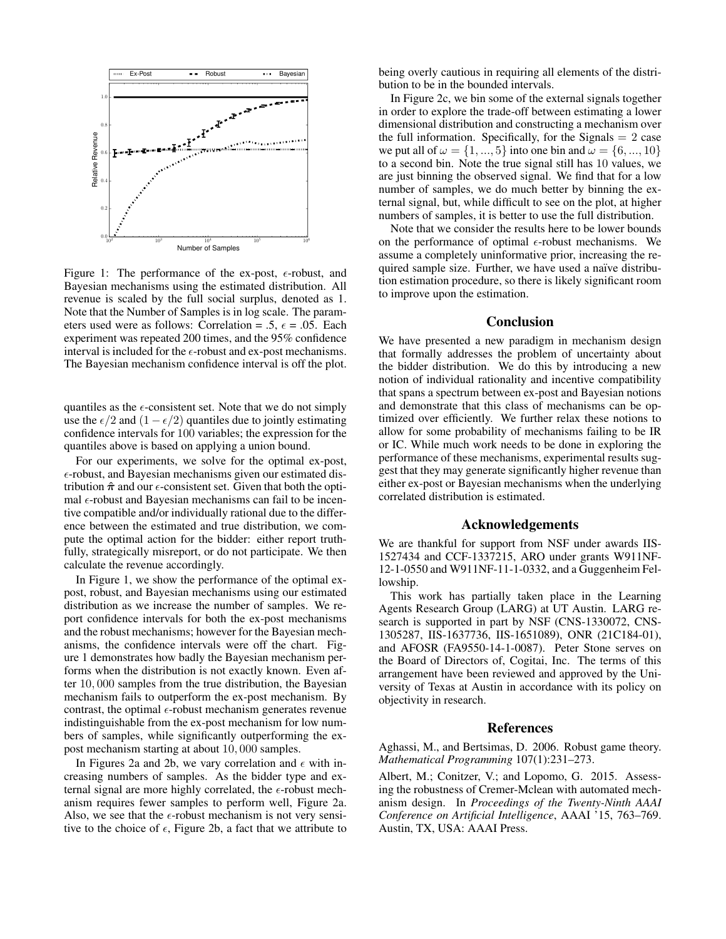

Figure 1: The performance of the ex-post,  $\epsilon$ -robust, and Bayesian mechanisms using the estimated distribution. All revenue is scaled by the full social surplus, denoted as 1. Note that the Number of Samples is in log scale. The parameters used were as follows: Correlation = .5,  $\epsilon$  = .05. Each experiment was repeated 200 times, and the 95% confidence interval is included for the  $\epsilon$ -robust and ex-post mechanisms. The Bayesian mechanism confidence interval is off the plot.

quantiles as the  $\epsilon$ -consistent set. Note that we do not simply use the  $\epsilon/2$  and  $(1 - \epsilon/2)$  quantiles due to jointly estimating confidence intervals for 100 variables; the expression for the quantiles above is based on applying a union bound.

For our experiments, we solve for the optimal ex-post, -robust, and Bayesian mechanisms given our estimated distribution  $\hat{\pi}$  and our  $\epsilon$ -consistent set. Given that both the optimal  $\epsilon$ -robust and Bayesian mechanisms can fail to be incentive compatible and/or individually rational due to the difference between the estimated and true distribution, we compute the optimal action for the bidder: either report truthfully, strategically misreport, or do not participate. We then calculate the revenue accordingly.

In Figure 1, we show the performance of the optimal expost, robust, and Bayesian mechanisms using our estimated distribution as we increase the number of samples. We report confidence intervals for both the ex-post mechanisms and the robust mechanisms; however for the Bayesian mechanisms, the confidence intervals were off the chart. Figure 1 demonstrates how badly the Bayesian mechanism performs when the distribution is not exactly known. Even after 10, 000 samples from the true distribution, the Bayesian mechanism fails to outperform the ex-post mechanism. By contrast, the optimal  $\epsilon$ -robust mechanism generates revenue indistinguishable from the ex-post mechanism for low numbers of samples, while significantly outperforming the expost mechanism starting at about 10, 000 samples.

In Figures 2a and 2b, we vary correlation and  $\epsilon$  with increasing numbers of samples. As the bidder type and external signal are more highly correlated, the  $\epsilon$ -robust mechanism requires fewer samples to perform well, Figure 2a. Also, we see that the  $\epsilon$ -robust mechanism is not very sensitive to the choice of  $\epsilon$ , Figure 2b, a fact that we attribute to being overly cautious in requiring all elements of the distribution to be in the bounded intervals.

In Figure 2c, we bin some of the external signals together in order to explore the trade-off between estimating a lower dimensional distribution and constructing a mechanism over the full information. Specifically, for the Signals  $= 2$  case we put all of  $\omega = \{1, ..., 5\}$  into one bin and  $\omega = \{6, ..., 10\}$ to a second bin. Note the true signal still has 10 values, we are just binning the observed signal. We find that for a low number of samples, we do much better by binning the external signal, but, while difficult to see on the plot, at higher numbers of samples, it is better to use the full distribution.

Note that we consider the results here to be lower bounds on the performance of optimal  $\epsilon$ -robust mechanisms. We assume a completely uninformative prior, increasing the required sample size. Further, we have used a naïve distribution estimation procedure, so there is likely significant room to improve upon the estimation.

## Conclusion

We have presented a new paradigm in mechanism design that formally addresses the problem of uncertainty about the bidder distribution. We do this by introducing a new notion of individual rationality and incentive compatibility that spans a spectrum between ex-post and Bayesian notions and demonstrate that this class of mechanisms can be optimized over efficiently. We further relax these notions to allow for some probability of mechanisms failing to be IR or IC. While much work needs to be done in exploring the performance of these mechanisms, experimental results suggest that they may generate significantly higher revenue than either ex-post or Bayesian mechanisms when the underlying correlated distribution is estimated.

# Acknowledgements

We are thankful for support from NSF under awards IIS-1527434 and CCF-1337215, ARO under grants W911NF-12-1-0550 and W911NF-11-1-0332, and a Guggenheim Fellowship.

This work has partially taken place in the Learning Agents Research Group (LARG) at UT Austin. LARG research is supported in part by NSF (CNS-1330072, CNS-1305287, IIS-1637736, IIS-1651089), ONR (21C184-01), and AFOSR (FA9550-14-1-0087). Peter Stone serves on the Board of Directors of, Cogitai, Inc. The terms of this arrangement have been reviewed and approved by the University of Texas at Austin in accordance with its policy on objectivity in research.

#### References

Aghassi, M., and Bertsimas, D. 2006. Robust game theory. *Mathematical Programming* 107(1):231–273.

Albert, M.; Conitzer, V.; and Lopomo, G. 2015. Assessing the robustness of Cremer-Mclean with automated mechanism design. In *Proceedings of the Twenty-Ninth AAAI Conference on Artificial Intelligence*, AAAI '15, 763–769. Austin, TX, USA: AAAI Press.